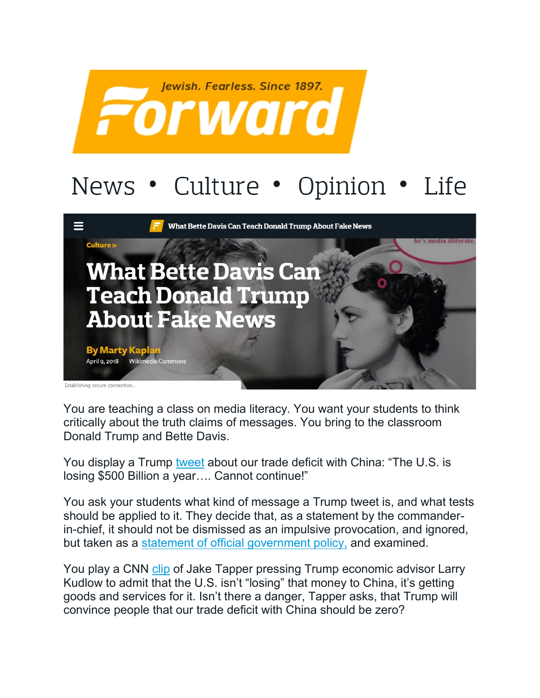

## News • Culture • Opinion • Life



You are teaching a class on media literacy. You want your students to think critically about the truth claims of messages. You bring to the classroom Donald Trump and Bette Davis.

You display a Trump [tweet](https://twitter.com/realDonaldTrump/status/982680387116781568) about our trade deficit with China: "The U.S. is losing \$500 Billion a year…. Cannot continue!"

You ask your students what kind of message a Trump tweet is, and what tests should be applied to it. They decide that, as a statement by the commanderin-chief, it should not be dismissed as an impulsive provocation, and ignored, but taken as a [statement of official government policy,](https://pbs.twimg.com/media/DaMvFnLVwAANZ9R.jpg) and examined.

You play a CNN [clip](https://www.cnn.com/videos/politics/2018/04/08/sotu-kudlow-full.cnn/video/playlists/atv-road-to-the-white-house-automated/) of Jake Tapper pressing Trump economic advisor Larry Kudlow to admit that the U.S. isn't "losing" that money to China, it's getting goods and services for it. Isn't there a danger, Tapper asks, that Trump will convince people that our trade deficit with China should be zero?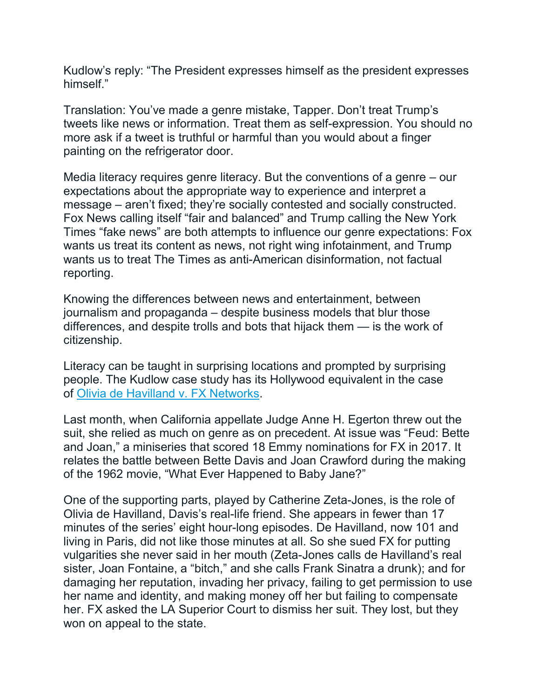Kudlow's reply: "The President expresses himself as the president expresses himself."

Translation: You've made a genre mistake, Tapper. Don't treat Trump's tweets like news or information. Treat them as self-expression. You should no more ask if a tweet is truthful or harmful than you would about a finger painting on the refrigerator door.

Media literacy requires genre literacy. But the conventions of a genre – our expectations about the appropriate way to experience and interpret a message – aren't fixed; they're socially contested and socially constructed. Fox News calling itself "fair and balanced" and Trump calling the New York Times "fake news" are both attempts to influence our genre expectations: Fox wants us treat its content as news, not right wing infotainment, and Trump wants us to treat The Times as anti-American disinformation, not factual reporting.

Knowing the differences between news and entertainment, between journalism and propaganda – despite business models that blur those differences, and despite trolls and bots that hijack them — is the work of citizenship.

Literacy can be taught in surprising locations and prompted by surprising people. The Kudlow case study has its Hollywood equivalent in the case of [Olivia de Havilland v. FX Networks.](http://www.courts.ca.gov/opinions/documents/B285629.PDF)

Last month, when California appellate Judge Anne H. Egerton threw out the suit, she relied as much on genre as on precedent. At issue was "Feud: Bette and Joan," a miniseries that scored 18 Emmy nominations for FX in 2017. It relates the battle between Bette Davis and Joan Crawford during the making of the 1962 movie, "What Ever Happened to Baby Jane?"

One of the supporting parts, played by Catherine Zeta-Jones, is the role of Olivia de Havilland, Davis's real-life friend. She appears in fewer than 17 minutes of the series' eight hour-long episodes. De Havilland, now 101 and living in Paris, did not like those minutes at all. So she sued FX for putting vulgarities she never said in her mouth (Zeta-Jones calls de Havilland's real sister, Joan Fontaine, a "bitch," and she calls Frank Sinatra a drunk); and for damaging her reputation, invading her privacy, failing to get permission to use her name and identity, and making money off her but failing to compensate her. FX asked the LA Superior Court to dismiss her suit. They lost, but they won on appeal to the state.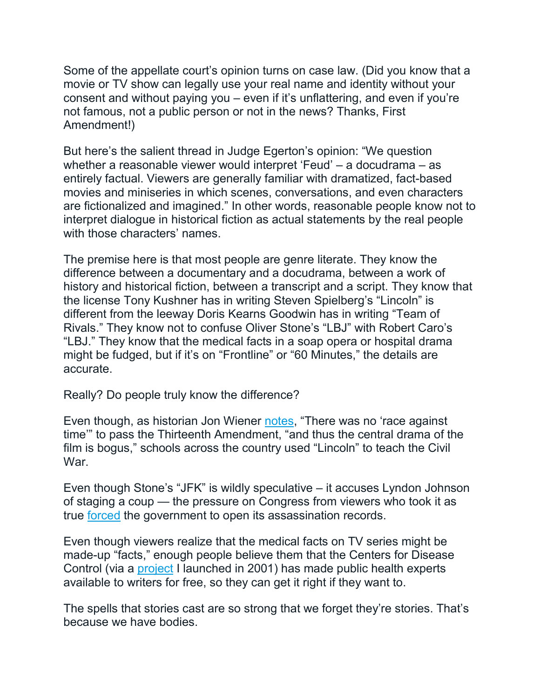Some of the appellate court's opinion turns on case law. (Did you know that a movie or TV show can legally use your real name and identity without your consent and without paying you – even if it's unflattering, and even if you're not famous, not a public person or not in the news? Thanks, First Amendment!)

But here's the salient thread in Judge Egerton's opinion: "We question whether a reasonable viewer would interpret 'Feud' – a docudrama – as entirely factual. Viewers are generally familiar with dramatized, fact-based movies and miniseries in which scenes, conversations, and even characters are fictionalized and imagined." In other words, reasonable people know not to interpret dialogue in historical fiction as actual statements by the real people with those characters' names.

The premise here is that most people are genre literate. They know the difference between a documentary and a docudrama, between a work of history and historical fiction, between a transcript and a script. They know that the license Tony Kushner has in writing Steven Spielberg's "Lincoln" is different from the leeway Doris Kearns Goodwin has in writing "Team of Rivals." They know not to confuse Oliver Stone's "LBJ" with Robert Caro's "LBJ." They know that the medical facts in a soap opera or hospital drama might be fudged, but if it's on "Frontline" or "60 Minutes," the details are accurate.

Really? Do people truly know the difference?

Even though, as historian Jon Wiener [notes,](https://www.thenation.com/article/trouble-steven-spielbergs-lincoln/) "There was no 'race against time'" to pass the Thirteenth Amendment, "and thus the central drama of the film is bogus," schools across the country used "Lincoln" to teach the Civil War.

Even though Stone's "JFK" is wildly speculative – it accuses Lyndon Johnson of staging a coup — the pressure on Congress from viewers who took it as true [forced](https://www.history.com/news/why-the-public-stopped-believing-the-government-about-jfks-murder) the government to open its assassination records.

Even though viewers realize that the medical facts on TV series might be made-up "facts," enough people believe them that the Centers for Disease Control (via a [project](https://hollywoodhealthandsociety.org/) I launched in 2001) has made public health experts available to writers for free, so they can get it right if they want to.

The spells that stories cast are so strong that we forget they're stories. That's because we have bodies.